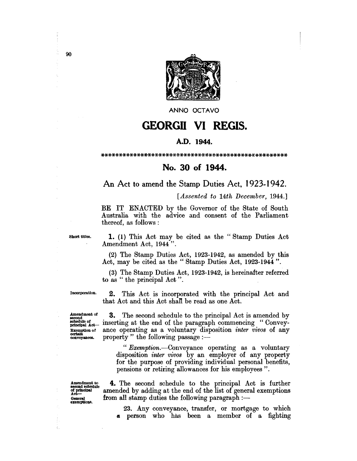

ANNO OCTAVO

## **GEORGII VI REGIS.**

## A.D. 1944.

## No. 30 of 1944.

## An Act to amend the Stamp Duties Act, 1923-1942.

[Assented to 14th December, 1944.]

BE IT ENACTED by the Governor of the State of South Australia with the advice and consent of the Parliament thereof, as follows:

Short titles.

1. (1) This Act may be cited as the "Stamp Duties Act Amendment Act, 1944".

(2) The Stamp Duties Act, 1923-1942, as amended by this Act, may be cited as the "Stamp Duties Act, 1923-1944".

(3) The Stamp Duties Act, 1923-1942, is hereinafter referred to as "the principal Act".

Incorporation.

**2.** This Act is incorporated with the principal Act and that Act and this Act shall be read as one Act.

Amendment of second<br>schedule of<br>principal Act-Exemption of certain conveyances.

3. The second schedule to the principal Act is amended by inserting at the end of the paragraph commencing "Conveyance operating as a voluntary disposition *inter vivos* of any property" the following passage :-

"Exemption.—Conveyance operating as a voluntary disposition *inter vivos* by an employer of any property for the purpose of providing individual personal benefits, pensions or retiring allowances for his employees".

Amendment to<br>second schedule of principal General exemptions.

4. The second schedule to the principal Act is further amended by adding at the end of the list of general exemptions from all stamp duties the following paragraph :-

23. Any conveyance, transfer, or mortgage to which a person who has been a member of a fighting